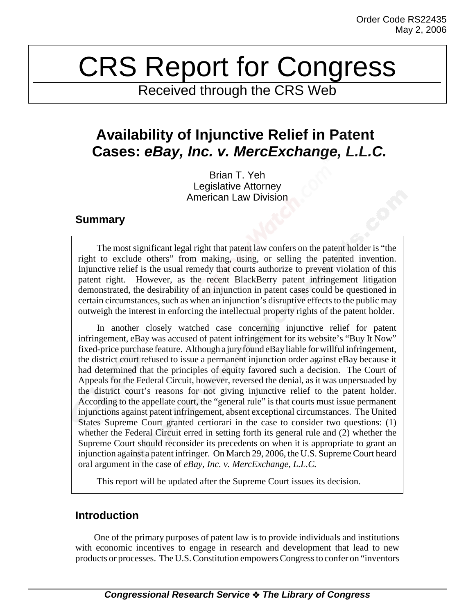# CRS Report for Congress

Received through the CRS Web

# **Availability of Injunctive Relief in Patent Cases:** *eBay, Inc. v. MercExchange, L.L.C.*

Brian T. Yeh Legislative Attorney American Law Division

## **Summary**

The most significant legal right that patent law confers on the patent holder is "the right to exclude others" from making, using, or selling the patented invention. Injunctive relief is the usual remedy that courts authorize to prevent violation of this patent right. However, as the recent BlackBerry patent infringement litigation demonstrated, the desirability of an injunction in patent cases could be questioned in certain circumstances, such as when an injunction's disruptive effects to the public may outweigh the interest in enforcing the intellectual property rights of the patent holder.

In another closely watched case concerning injunctive relief for patent infringement, eBay was accused of patent infringement for its website's "Buy It Now" fixed-price purchase feature. Although a jury found eBay liable for willful infringement, the district court refused to issue a permanent injunction order against eBay because it had determined that the principles of equity favored such a decision. The Court of Appeals for the Federal Circuit, however, reversed the denial, as it was unpersuaded by the district court's reasons for not giving injunctive relief to the patent holder. According to the appellate court, the "general rule" is that courts must issue permanent injunctions against patent infringement, absent exceptional circumstances. The United States Supreme Court granted certiorari in the case to consider two questions: (1) whether the Federal Circuit erred in setting forth its general rule and (2) whether the Supreme Court should reconsider its precedents on when it is appropriate to grant an injunction against a patent infringer. On March 29, 2006, the U.S. Supreme Court heard oral argument in the case of *eBay, Inc. v. MercExchange, L.L.C.*

This report will be updated after the Supreme Court issues its decision.

# **Introduction**

One of the primary purposes of patent law is to provide individuals and institutions with economic incentives to engage in research and development that lead to new products or processes. The U.S. Constitution empowers Congress to confer on "inventors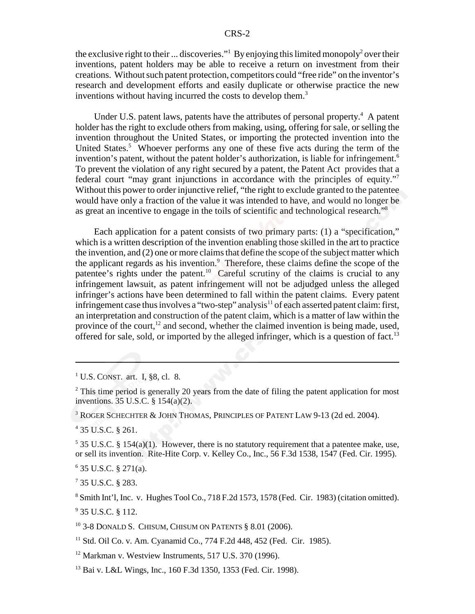the exclusive right to their ... discoveries."<sup>1</sup> By enjoying this limited monopoly<sup>2</sup> over their inventions, patent holders may be able to receive a return on investment from their creations. Without such patent protection, competitors could "free ride" on the inventor's research and development efforts and easily duplicate or otherwise practice the new inventions without having incurred the costs to develop them.<sup>3</sup>

Under U.S. patent laws, patents have the attributes of personal property.<sup>4</sup> A patent holder has the right to exclude others from making, using, offering for sale, or selling the invention throughout the United States, or importing the protected invention into the United States.<sup>5</sup> Whoever performs any one of these five acts during the term of the invention's patent, without the patent holder's authorization, is liable for infringement.<sup>6</sup> To prevent the violation of any right secured by a patent, the Patent Act provides that a federal court "may grant injunctions in accordance with the principles of equity."7 Without this power to order injunctive relief, "the right to exclude granted to the patentee would have only a fraction of the value it was intended to have, and would no longer be as great an incentive to engage in the toils of scientific and technological research."8

Each application for a patent consists of two primary parts: (1) a "specification," which is a written description of the invention enabling those skilled in the art to practice the invention, and (2) one or more claims that define the scope of the subject matter which the applicant regards as his invention.<sup>9</sup> Therefore, these claims define the scope of the patentee's rights under the patent.<sup>10</sup> Careful scrutiny of the claims is crucial to any infringement lawsuit, as patent infringement will not be adjudged unless the alleged infringer's actions have been determined to fall within the patent claims. Every patent infringement case thus involves a "two-step" analysis $^{11}$  of each asserted patent claim: first, an interpretation and construction of the patent claim, which is a matter of law within the province of the court, $^{12}$  and second, whether the claimed invention is being made, used, offered for sale, sold, or imported by the alleged infringer, which is a question of fact.<sup>13</sup>

3 ROGER SCHECHTER & JOHN THOMAS, PRINCIPLES OF PATENT LAW 9-13 (2d ed. 2004).

4 35 U.S.C. § 261.

 $5$  35 U.S.C. § 154(a)(1). However, there is no statutory requirement that a patentee make, use, or sell its invention. Rite-Hite Corp. v. Kelley Co., Inc., 56 F.3d 1538, 1547 (Fed. Cir. 1995).

6 35 U.S.C. § 271(a).

7 35 U.S.C. § 283.

8 Smith Int'l, Inc. v. Hughes Tool Co., 718 F.2d 1573, 1578 (Fed. Cir. 1983) (citation omitted).

<sup>9</sup> 35 U.S.C. § 112.

<sup>&</sup>lt;sup>1</sup> U.S. CONST. art. I, §8, cl. 8.

 $2^2$  This time period is generally 20 years from the date of filing the patent application for most inventions. 35 U.S.C. § 154(a)(2).

<sup>10 3-8</sup> DONALD S. CHISUM, CHISUM ON PATENTS § 8.01 (2006).

<sup>&</sup>lt;sup>11</sup> Std. Oil Co. v. Am. Cyanamid Co., 774 F.2d 448, 452 (Fed. Cir. 1985).

 $12$  Markman v. Westview Instruments, 517 U.S. 370 (1996).

<sup>13</sup> Bai v. L&L Wings, Inc., 160 F.3d 1350, 1353 (Fed. Cir. 1998).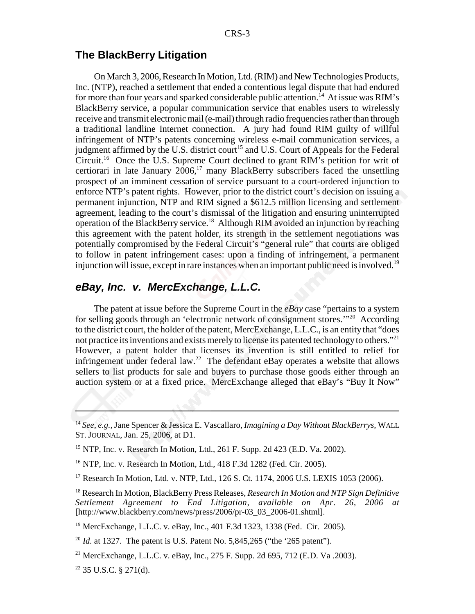### **The BlackBerry Litigation**

On March 3, 2006, Research In Motion, Ltd. (RIM) and New Technologies Products, Inc. (NTP), reached a settlement that ended a contentious legal dispute that had endured for more than four years and sparked considerable public attention.<sup>14</sup> At issue was RIM's BlackBerry service, a popular communication service that enables users to wirelessly receive and transmit electronic mail (e-mail) through radio frequencies rather than through a traditional landline Internet connection. A jury had found RIM guilty of willful infringement of NTP's patents concerning wireless e-mail communication services, a judgment affirmed by the U.S. district court<sup>15</sup> and U.S. Court of Appeals for the Federal Circuit.16 Once the U.S. Supreme Court declined to grant RIM's petition for writ of certiorari in late January  $2006$ ,<sup>17</sup> many BlackBerry subscribers faced the unsettling prospect of an imminent cessation of service pursuant to a court-ordered injunction to enforce NTP's patent rights. However, prior to the district court's decision on issuing a permanent injunction, NTP and RIM signed a \$612.5 million licensing and settlement agreement, leading to the court's dismissal of the litigation and ensuring uninterrupted operation of the BlackBerry service.18 Although RIM avoided an injunction by reaching this agreement with the patent holder, its strength in the settlement negotiations was potentially compromised by the Federal Circuit's "general rule" that courts are obliged to follow in patent infringement cases: upon a finding of infringement, a permanent injunction will issue, except in rare instances when an important public need is involved.19

#### *eBay, Inc. v. MercExchange, L.L.C.*

The patent at issue before the Supreme Court in the *eBay* case "pertains to a system for selling goods through an 'electronic network of consignment stores.'"20 According to the district court, the holder of the patent, MercExchange, L.L.C., is an entity that "does not practice its inventions and exists merely to license its patented technology to others."<sup>21</sup> However, a patent holder that licenses its invention is still entitled to relief for infringement under federal law.<sup>22</sup> The defendant eBay operates a website that allows sellers to list products for sale and buyers to purchase those goods either through an auction system or at a fixed price. MercExchange alleged that eBay's "Buy It Now"

<sup>14</sup> *See, e.g.,* Jane Spencer & Jessica E. Vascallaro, *Imagining a Day Without BlackBerrys,* WALL ST. JOURNAL, Jan. 25, 2006, at D1.

<sup>15</sup> NTP, Inc. v. Research In Motion, Ltd., 261 F. Supp. 2d 423 (E.D. Va. 2002).

<sup>16</sup> NTP, Inc. v. Research In Motion, Ltd., 418 F.3d 1282 (Fed. Cir. 2005).

<sup>17</sup> Research In Motion, Ltd. v. NTP, Ltd., 126 S. Ct. 1174, 2006 U.S. LEXIS 1053 (2006).

<sup>18</sup> Research In Motion, BlackBerry Press Releases, *Research In Motion and NTP Sign Definitive Settlement Agreement to End Litigation, available on Apr. 26, 2006 at* [http://www.blackberry.com/news/press/2006/pr-03\_03\_2006-01.shtml].

<sup>19</sup> MercExchange, L.L.C. v. eBay, Inc., 401 F.3d 1323, 1338 (Fed. Cir. 2005).

<sup>&</sup>lt;sup>20</sup> *Id.* at 1327. The patent is U.S. Patent No. 5,845,265 ("the '265 patent").

<sup>&</sup>lt;sup>21</sup> MercExchange, L.L.C. v. eBay, Inc., 275 F. Supp. 2d 695, 712 (E.D. Va. 2003).

 $22$  35 U.S.C. § 271(d).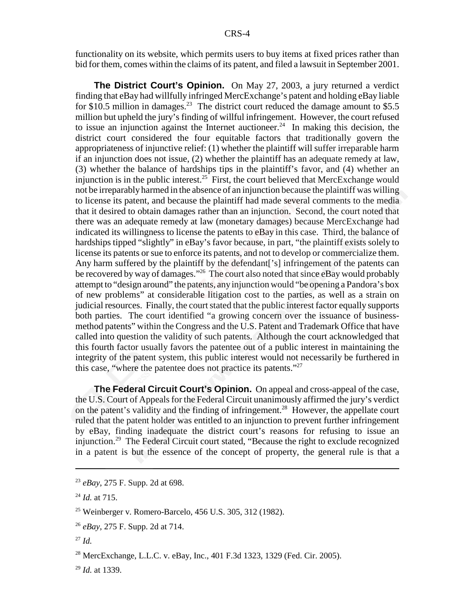functionality on its website, which permits users to buy items at fixed prices rather than bid for them, comes within the claims of its patent, and filed a lawsuit in September 2001.

**The District Court's Opinion.** On May 27, 2003, a jury returned a verdict finding that eBay had willfully infringed MercExchange's patent and holding eBay liable for  $$10.5$  million in damages.<sup>23</sup> The district court reduced the damage amount to  $$5.5$ million but upheld the jury's finding of willful infringement. However, the court refused to issue an injunction against the Internet auctioneer.<sup>24</sup> In making this decision, the district court considered the four equitable factors that traditionally govern the appropriateness of injunctive relief: (1) whether the plaintiff will suffer irreparable harm if an injunction does not issue, (2) whether the plaintiff has an adequate remedy at law, (3) whether the balance of hardships tips in the plaintiff's favor, and (4) whether an injunction is in the public interest.<sup>25</sup> First, the court believed that MercExchange would not be irreparably harmed in the absence of an injunction because the plaintiff was willing to license its patent, and because the plaintiff had made several comments to the media that it desired to obtain damages rather than an injunction. Second, the court noted that there was an adequate remedy at law (monetary damages) because MercExchange had indicated its willingness to license the patents to eBay in this case. Third, the balance of hardships tipped "slightly" in eBay's favor because, in part, "the plaintiff exists solely to license its patents or sue to enforce its patents, and not to develop or commercialize them. Any harm suffered by the plaintiff by the defendant['s] infringement of the patents can be recovered by way of damages."<sup>26</sup> The court also noted that since eBay would probably attempt to "design around" the patents, any injunction would "be opening a Pandora's box of new problems" at considerable litigation cost to the parties, as well as a strain on judicial resources. Finally, the court stated that the public interest factor equally supports both parties. The court identified "a growing concern over the issuance of businessmethod patents" within the Congress and the U.S. Patent and Trademark Office that have called into question the validity of such patents. Although the court acknowledged that this fourth factor usually favors the patentee out of a public interest in maintaining the integrity of the patent system, this public interest would not necessarily be furthered in this case, "where the patentee does not practice its patents."27

**The Federal Circuit Court's Opinion.** On appeal and cross-appeal of the case, the U.S. Court of Appeals for the Federal Circuit unanimously affirmed the jury's verdict on the patent's validity and the finding of infringement.<sup>28</sup> However, the appellate court ruled that the patent holder was entitled to an injunction to prevent further infringement by eBay, finding inadequate the district court's reasons for refusing to issue an injunction.29 The Federal Circuit court stated, "Because the right to exclude recognized in a patent is but the essence of the concept of property, the general rule is that a

<sup>27</sup> *Id.*

28 MercExchange, L.L.C. v. eBay, Inc., 401 F.3d 1323, 1329 (Fed. Cir. 2005).

<sup>29</sup> *Id.* at 1339.

<sup>23</sup> *eBay*, 275 F. Supp. 2d at 698.

<sup>24</sup> *Id.* at 715.

<sup>25</sup> Weinberger v. Romero-Barcelo, 456 U.S. 305, 312 (1982).

<sup>26</sup> *eBay*, 275 F. Supp. 2d at 714.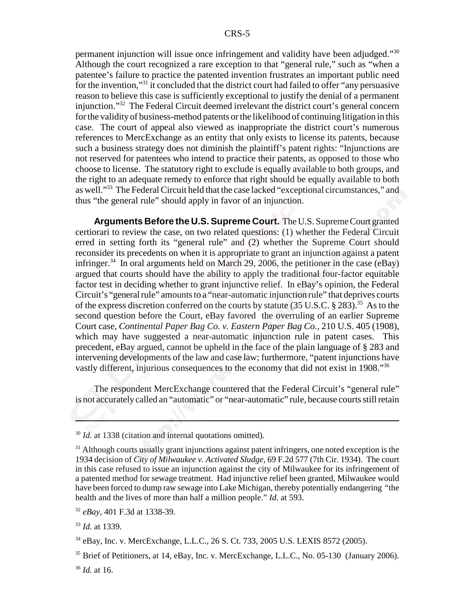permanent injunction will issue once infringement and validity have been adjudged."30 Although the court recognized a rare exception to that "general rule," such as "when a patentee's failure to practice the patented invention frustrates an important public need for the invention,"31 it concluded that the district court had failed to offer "any persuasive reason to believe this case is sufficiently exceptional to justify the denial of a permanent injunction."32 The Federal Circuit deemed irrelevant the district court's general concern for the validity of business-method patents or the likelihood of continuing litigation in this case. The court of appeal also viewed as inappropriate the district court's numerous references to MercExchange as an entity that only exists to license its patents, because such a business strategy does not diminish the plaintiff's patent rights: "Injunctions are not reserved for patentees who intend to practice their patents, as opposed to those who choose to license. The statutory right to exclude is equally available to both groups, and the right to an adequate remedy to enforce that right should be equally available to both as well."33 The Federal Circuit held that the case lacked "exceptional circumstances," and thus "the general rule" should apply in favor of an injunction.

**Arguments Before the U.S. Supreme Court.** The U.S. Supreme Court granted certiorari to review the case, on two related questions: (1) whether the Federal Circuit erred in setting forth its "general rule" and (2) whether the Supreme Court should reconsider its precedents on when it is appropriate to grant an injunction against a patent infringer.<sup>34</sup> In oral arguments held on March 29, 2006, the petitioner in the case (eBay) argued that courts should have the ability to apply the traditional four-factor equitable factor test in deciding whether to grant injunctive relief. In eBay's opinion, the Federal Circuit's "general rule" amounts to a "near-automatic injunction rule" that deprives courts of the express discretion conferred on the courts by statute  $(35 \text{ U.S.C.} \$ 283)$ .<sup>35</sup> As to the second question before the Court, eBay favored the overruling of an earlier Supreme Court case, *Continental Paper Bag Co. v. Eastern Paper Bag Co.*, 210 U.S. 405 (1908), which may have suggested a near-automatic injunction rule in patent cases. This precedent, eBay argued, cannot be upheld in the face of the plain language of § 283 and intervening developments of the law and case law; furthermore, "patent injunctions have vastly different, injurious consequences to the economy that did not exist in 1908."36

The respondent MercExchange countered that the Federal Circuit's "general rule" is not accurately called an "automatic" or "near-automatic" rule, because courts still retain

<sup>&</sup>lt;sup>30</sup> *Id.* at 1338 (citation and internal quotations omitted).

 $31$  Although courts usually grant injunctions against patent infringers, one noted exception is the 1934 decision of *City of Milwaukee v. Activated Sludge*, 69 F.2d 577 (7th Cir. 1934). The court in this case refused to issue an injunction against the city of Milwaukee for its infringement of a patented method for sewage treatment. Had injunctive relief been granted, Milwaukee would have been forced to dump raw sewage into Lake Michigan, thereby potentially endangering "the health and the lives of more than half a million people." *Id.* at 593.

<sup>32</sup> *eBay*, 401 F.3d at 1338-39.

<sup>33</sup> *Id.* at 1339.

<sup>34</sup> eBay, Inc. v. MercExchange, L.L.C., 26 S. Ct. 733, 2005 U.S. LEXIS 8572 (2005).

<sup>&</sup>lt;sup>35</sup> Brief of Petitioners, at 14, eBay, Inc. v. MercExchange, L.L.C., No. 05-130 (January 2006).

<sup>36</sup> *Id.* at 16.